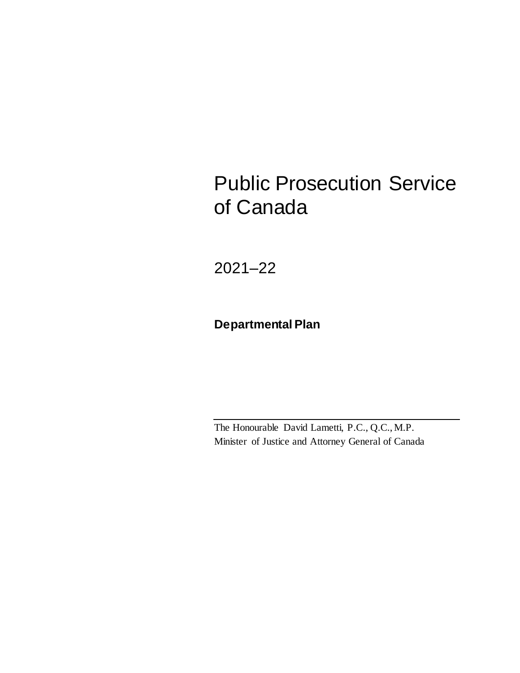# Public Prosecution Service of Canada

2021–22

### **Departmental Plan**

The Honourable David Lametti, P.C., Q.C., M.P. Minister of Justice and Attorney General of Canada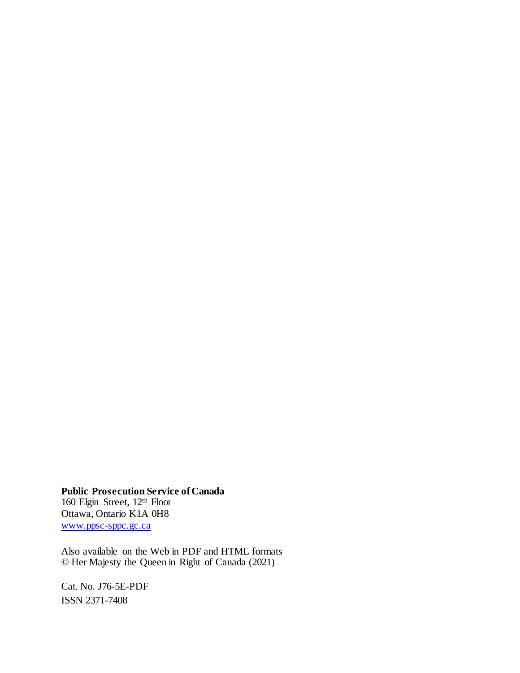**Public Prosecution Service of Canada** 160 Elgin Street, 12th Floor Ottawa, Ontario K1A 0H8 [www.ppsc-sppc.gc.ca](http://www.ppsc-sppc.gc.ca/)

Also available on the Web in PDF and HTML formats © Her Majesty the Queen in Right of Canada (2021)

Cat. No. J76-5E-PDF ISSN 2371-7408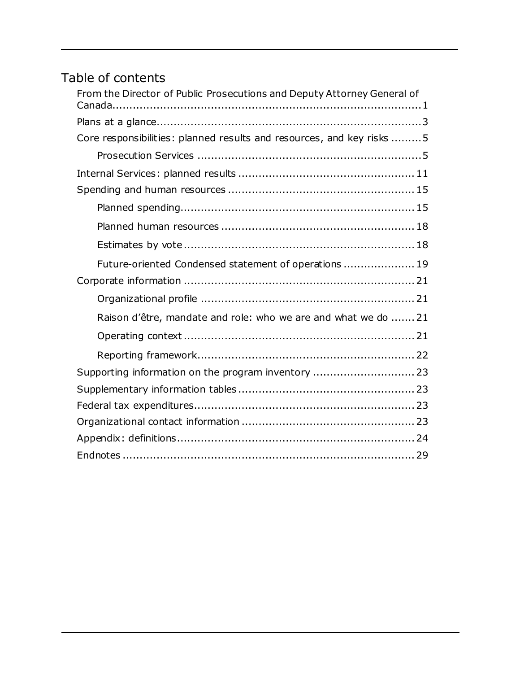## Table of contents

| From the Director of Public Prosecutions and Deputy Attorney General of |
|-------------------------------------------------------------------------|
|                                                                         |
| Core responsibilities: planned results and resources, and key risks 5   |
|                                                                         |
|                                                                         |
|                                                                         |
|                                                                         |
|                                                                         |
|                                                                         |
| Future-oriented Condensed statement of operations  19                   |
|                                                                         |
|                                                                         |
| Raison d'être, mandate and role: who we are and what we do  21          |
|                                                                         |
|                                                                         |
| Supporting information on the program inventory  23                     |
|                                                                         |
|                                                                         |
|                                                                         |
|                                                                         |
|                                                                         |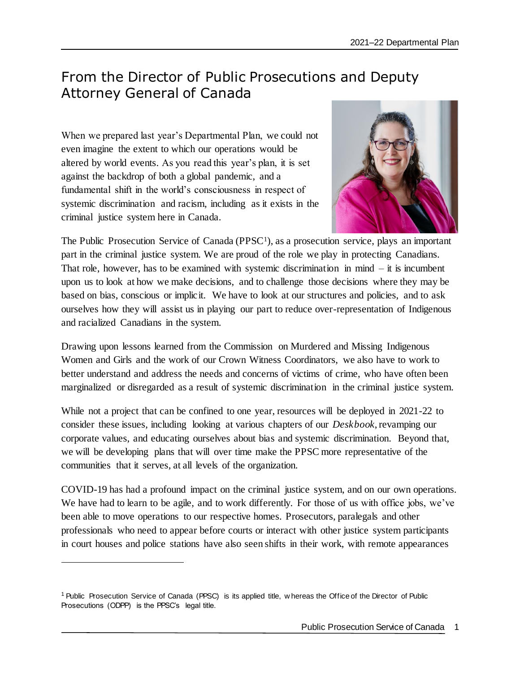### <span id="page-4-0"></span>From the Director of Public Prosecutions and Deputy Attorney General of Canada

When we prepared last year's Departmental Plan, we could not even imagine the extent to which our operations would be altered by world events. As you read this year's plan, it is set against the backdrop of both a global pandemic, and a fundamental shift in the world's consciousness in respect of systemic discrimination and racism, including as it exists in the criminal justice system here in Canada.



The Public Prosecution Service of Canada (PPSC<sup>1</sup>), as a prosecution service, plays an important part in the criminal justice system. We are proud of the role we play in protecting Canadians. That role, however, has to be examined with systemic discrimination in mind  $-$  it is incumbent upon us to look at how we make decisions, and to challenge those decisions where they may be based on bias, conscious or implicit. We have to look at our structures and policies, and to ask ourselves how they will assist us in playing our part to reduce over-representation of Indigenous and racialized Canadians in the system.

Drawing upon lessons learned from the Commission on Murdered and Missing Indigenous Women and Girls and the work of our Crown Witness Coordinators, we also have to work to better understand and address the needs and concerns of victims of crime, who have often been marginalized or disregarded as a result of systemic discrimination in the criminal justice system.

While not a project that can be confined to one year, resources will be deployed in 2021-22 to consider these issues, including looking at various chapters of our *Deskbook*, revamping our corporate values, and educating ourselves about bias and systemic discrimination. Beyond that, we will be developing plans that will over time make the PPSC more representative of the communities that it serves, at all levels of the organization.

COVID-19 has had a profound impact on the criminal justice system, and on our own operations. We have had to learn to be agile, and to work differently. For those of us with office jobs, we've been able to move operations to our respective homes. Prosecutors, paralegals and other professionals who need to appear before courts or interact with other justice system participants in court houses and police stations have also seen shifts in their work, with remote appearances

j

<sup>1</sup> Public Prosecution Service of Canada (PPSC) is its applied title, w hereas the Office of the Director of Public Prosecutions (ODPP) is the PPSC's legal title.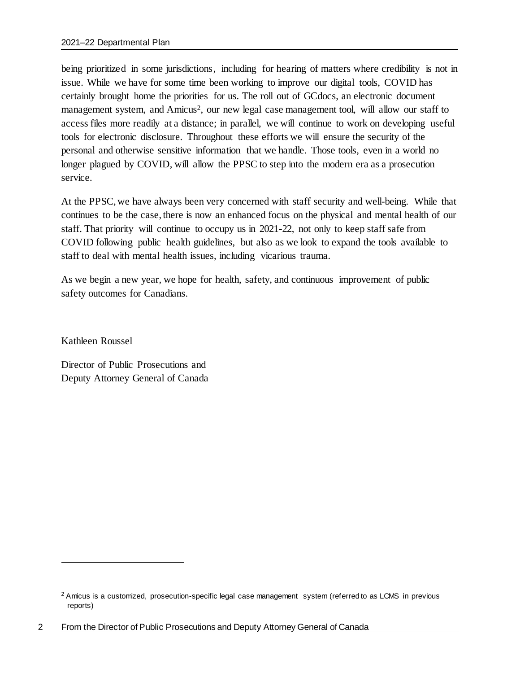being prioritized in some jurisdictions, including for hearing of matters where credibility is not in issue. While we have for some time been working to improve our digital tools, COVID has certainly brought home the priorities for us. The roll out of GCdocs, an electronic document management system, and Amicus<sup>2</sup>, our new legal case management tool, will allow our staff to access files more readily at a distance; in parallel, we will continue to work on developing useful tools for electronic disclosure. Throughout these efforts we will ensure the security of the personal and otherwise sensitive information that we handle. Those tools, even in a world no longer plagued by COVID, will allow the PPSC to step into the modern era as a prosecution service.

At the PPSC, we have always been very concerned with staff security and well-being. While that continues to be the case, there is now an enhanced focus on the physical and mental health of our staff. That priority will continue to occupy us in 2021-22, not only to keep staff safe from COVID following public health guidelines, but also as we look to expand the tools available to staff to deal with mental health issues, including vicarious trauma.

As we begin a new year, we hope for health, safety, and continuous improvement of public safety outcomes for Canadians.

Kathleen Roussel

j

Director of Public Prosecutions and Deputy Attorney General of Canada

<sup>&</sup>lt;sup>2</sup> Amicus is a customized, prosecution-specific legal case management system (referred to as LCMS in previous reports)

<sup>2</sup> From the Director of Public Prosecutions and Deputy Attorney General of Canada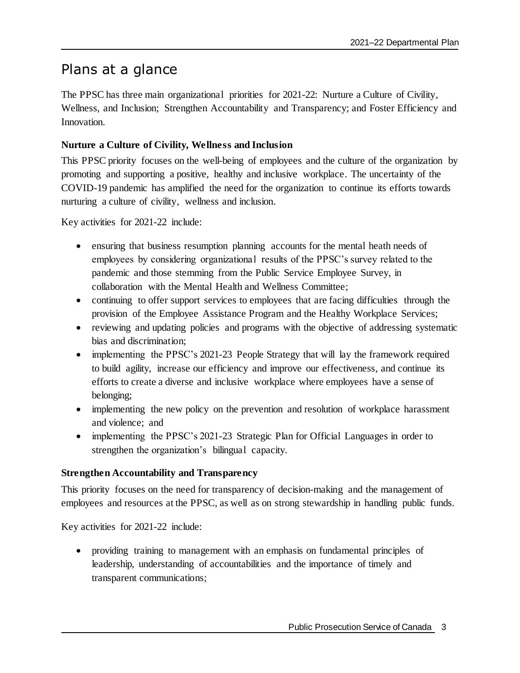### <span id="page-6-0"></span>Plans at a glance

The PPSC has three main organizational priorities for 2021-22: Nurture a Culture of Civility, Wellness, and Inclusion; Strengthen Accountability and Transparency; and Foster Efficiency and Innovation.

### **Nurture a Culture of Civility, Wellness and Inclusion**

This PPSC priority focuses on the well-being of employees and the culture of the organization by promoting and supporting a positive, healthy and inclusive workplace. The uncertainty of the COVID-19 pandemic has amplified the need for the organization to continue its efforts towards nurturing a culture of civility, wellness and inclusion.

Key activities for 2021-22 include:

- ensuring that business resumption planning accounts for the mental heath needs of employees by considering organizational results of the PPSC's survey related to the pandemic and those stemming from the Public Service Employee Survey, in collaboration with the Mental Health and Wellness Committee;
- continuing to offer support services to employees that are facing difficulties through the provision of the Employee Assistance Program and the Healthy Workplace Services;
- reviewing and updating policies and programs with the objective of addressing systematic bias and discrimination;
- implementing the PPSC's 2021-23 People Strategy that will lay the framework required to build agility, increase our efficiency and improve our effectiveness, and continue its efforts to create a diverse and inclusive workplace where employees have a sense of belonging;
- implementing the new policy on the prevention and resolution of workplace harassment and violence; and
- implementing the PPSC's 2021-23 Strategic Plan for Official Languages in order to strengthen the organization's bilingual capacity.

### **Strengthen Accountability and Transparency**

This priority focuses on the need for transparency of decision-making and the management of employees and resources at the PPSC, as well as on strong stewardship in handling public funds.

Key activities for 2021-22 include:

 providing training to management with an emphasis on fundamental principles of leadership, understanding of accountabilities and the importance of timely and transparent communications;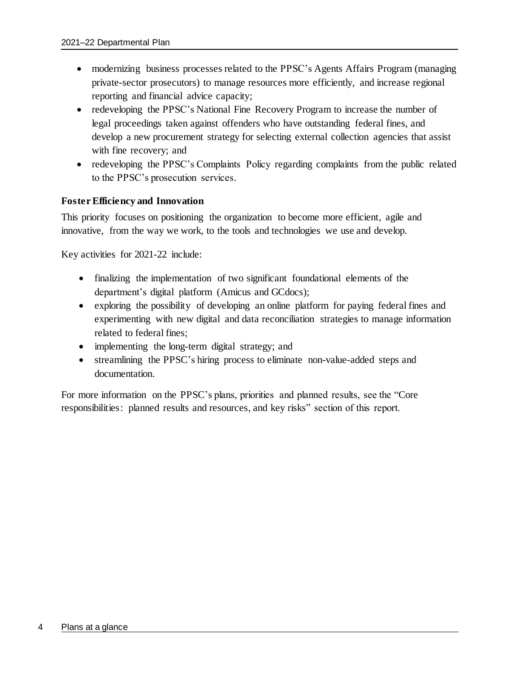- modernizing business processes related to the PPSC's Agents Affairs Program (managing private-sector prosecutors) to manage resources more efficiently, and increase regional reporting and financial advice capacity;
- redeveloping the PPSC's National Fine Recovery Program to increase the number of legal proceedings taken against offenders who have outstanding federal fines, and develop a new procurement strategy for selecting external collection agencies that assist with fine recovery; and
- redeveloping the PPSC's Complaints Policy regarding complaints from the public related to the PPSC's prosecution services.

### **Foster Efficiency and Innovation**

This priority focuses on positioning the organization to become more efficient, agile and innovative, from the way we work, to the tools and technologies we use and develop.

Key activities for 2021-22 include:

- finalizing the implementation of two significant foundational elements of the department's digital platform (Amicus and GCdocs);
- exploring the possibility of developing an online platform for paying federal fines and experimenting with new digital and data reconciliation strategies to manage information related to federal fines;
- implementing the long-term digital strategy; and
- streamlining the PPSC's hiring process to eliminate non-value-added steps and documentation.

For more information on the PPSC's plans, priorities and planned results, see the "Core responsibilities: planned results and resources, and key risks" section of this report.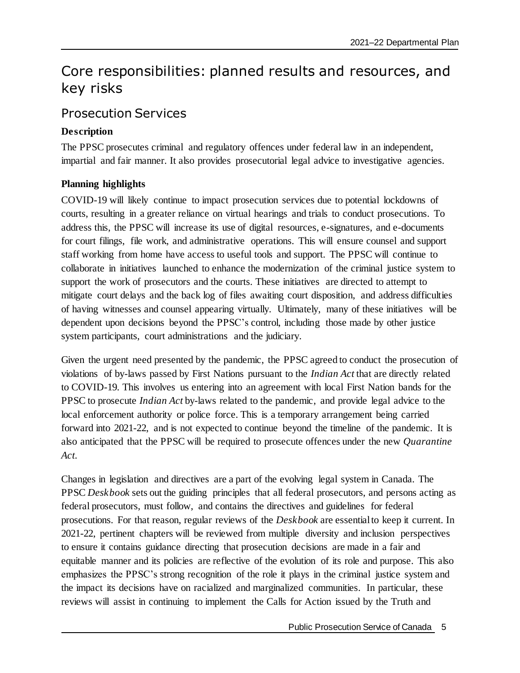## <span id="page-8-0"></span>Core responsibilities: planned results and resources, and key risks

### <span id="page-8-1"></span>Prosecution Services

### **Description**

The PPSC prosecutes criminal and regulatory offences under federal law in an independent, impartial and fair manner. It also provides prosecutorial legal advice to investigative agencies.

### **Planning highlights**

COVID-19 will likely continue to impact prosecution services due to potential lockdowns of courts, resulting in a greater reliance on virtual hearings and trials to conduct prosecutions. To address this, the PPSC will increase its use of digital resources, e-signatures, and e-documents for court filings, file work, and administrative operations. This will ensure counsel and support staff working from home have access to useful tools and support. The PPSC will continue to collaborate in initiatives launched to enhance the modernization of the criminal justice system to support the work of prosecutors and the courts. These initiatives are directed to attempt to mitigate court delays and the back log of files awaiting court disposition, and address difficulties of having witnesses and counsel appearing virtually. Ultimately, many of these initiatives will be dependent upon decisions beyond the PPSC's control, including those made by other justice system participants, court administrations and the judiciary.

Given the urgent need presented by the pandemic, the PPSC agreed to conduct the prosecution of violations of by-laws passed by First Nations pursuant to the *Indian Act* that are directly related to COVID-19. This involves us entering into an agreement with local First Nation bands for the PPSC to prosecute *Indian Act* by-laws related to the pandemic, and provide legal advice to the local enforcement authority or police force. This is a temporary arrangement being carried forward into 2021-22, and is not expected to continue beyond the timeline of the pandemic. It is also anticipated that the PPSC will be required to prosecute offences under the new *Quarantine Act*.

Changes in legislation and directives are a part of the evolving legal system in Canada. The PPSC *Deskbook* sets out the guiding principles that all federal prosecutors, and persons acting as federal prosecutors, must follow, and contains the directives and guidelines for federal prosecutions. For that reason, regular reviews of the *Deskbook* are essential to keep it current. In 2021-22, pertinent chapters will be reviewed from multiple diversity and inclusion perspectives to ensure it contains guidance directing that prosecution decisions are made in a fair and equitable manner and its policies are reflective of the evolution of its role and purpose. This also emphasizes the PPSC's strong recognition of the role it plays in the criminal justice system and the impact its decisions have on racialized and marginalized communities. In particular, these reviews will assist in continuing to implement the Calls for Action issued by the Truth and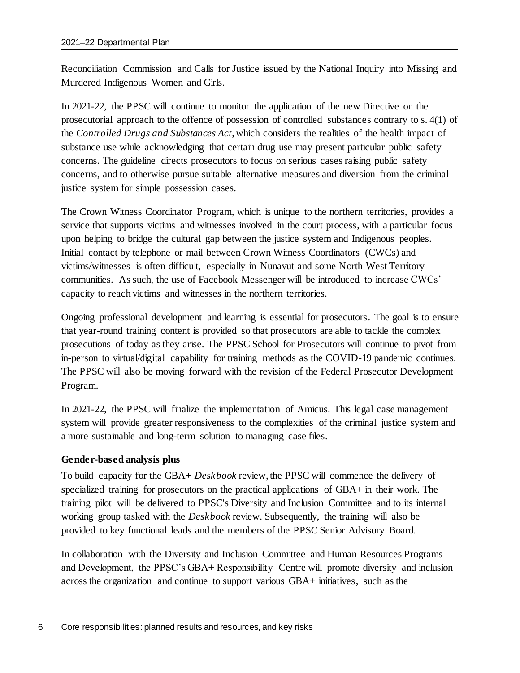Reconciliation Commission and Calls for Justice issued by the National Inquiry into Missing and Murdered Indigenous Women and Girls.

In 2021-22, the PPSC will continue to monitor the application of the new Directive on the prosecutorial approach to the offence of possession of controlled substances contrary to s. 4(1) of the *Controlled Drugs and Substances Act*, which considers the realities of the health impact of substance use while acknowledging that certain drug use may present particular public safety concerns. The guideline directs prosecutors to focus on serious cases raising public safety concerns, and to otherwise pursue suitable alternative measures and diversion from the criminal justice system for simple possession cases.

The Crown Witness Coordinator Program, which is unique to the northern territories, provides a service that supports victims and witnesses involved in the court process, with a particular focus upon helping to bridge the cultural gap between the justice system and Indigenous peoples. Initial contact by telephone or mail between Crown Witness Coordinators (CWCs) and victims/witnesses is often difficult, especially in Nunavut and some North West Territory communities. As such, the use of Facebook Messenger will be introduced to increase CWCs' capacity to reach victims and witnesses in the northern territories.

Ongoing professional development and learning is essential for prosecutors. The goal is to ensure that year-round training content is provided so that prosecutors are able to tackle the complex prosecutions of today as they arise. The PPSC School for Prosecutors will continue to pivot from in-person to virtual/digital capability for training methods as the COVID-19 pandemic continues. The PPSC will also be moving forward with the revision of the Federal Prosecutor Development Program.

In 2021-22, the PPSC will finalize the implementation of Amicus. This legal case management system will provide greater responsiveness to the complexities of the criminal justice system and a more sustainable and long-term solution to managing case files.

#### **Gender-based analysis plus**

To build capacity for the GBA+ *Deskbook* review, the PPSC will commence the delivery of specialized training for prosecutors on the practical applications of GBA+ in their work. The training pilot will be delivered to PPSC's Diversity and Inclusion Committee and to its internal working group tasked with the *Deskbook* review. Subsequently, the training will also be provided to key functional leads and the members of the PPSC Senior Advisory Board.

In collaboration with the Diversity and Inclusion Committee and Human Resources Programs and Development, the PPSC's GBA+ Responsibility Centre will promote diversity and inclusion across the organization and continue to support various GBA+ initiatives, such as the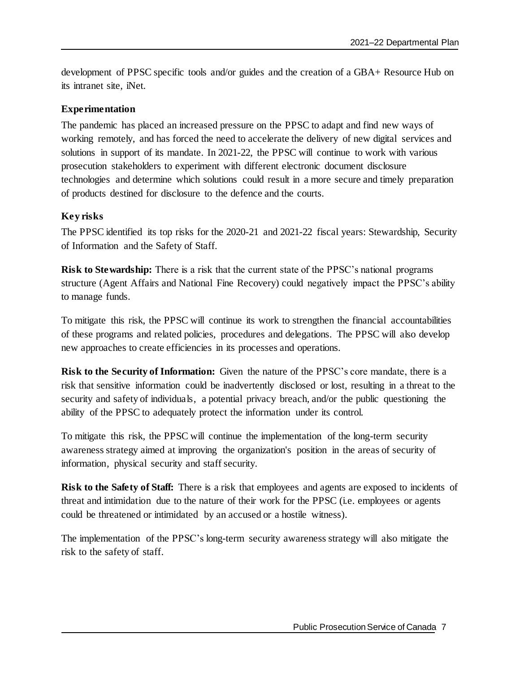development of PPSC specific tools and/or guides and the creation of a GBA+ Resource Hub on its intranet site, iNet.

### **Experimentation**

The pandemic has placed an increased pressure on the PPSC to adapt and find new ways of working remotely, and has forced the need to accelerate the delivery of new digital services and solutions in support of its mandate. In 2021-22, the PPSC will continue to work with various prosecution stakeholders to experiment with different electronic document disclosure technologies and determine which solutions could result in a more secure and timely preparation of products destined for disclosure to the defence and the courts.

### **Key risks**

The PPSC identified its top risks for the 2020-21 and 2021-22 fiscal years: Stewardship, Security of Information and the Safety of Staff.

**Risk to Stewardship:** There is a risk that the current state of the PPSC's national programs structure (Agent Affairs and National Fine Recovery) could negatively impact the PPSC's ability to manage funds.

To mitigate this risk, the PPSC will continue its work to strengthen the financial accountabilities of these programs and related policies, procedures and delegations. The PPSC will also develop new approaches to create efficiencies in its processes and operations.

**Risk to the Security of Information:** Given the nature of the PPSC's core mandate, there is a risk that sensitive information could be inadvertently disclosed or lost, resulting in a threat to the security and safety of individuals, a potential privacy breach, and/or the public questioning the ability of the PPSC to adequately protect the information under its control.

To mitigate this risk, the PPSC will continue the implementation of the long-term security awareness strategy aimed at improving the organization's position in the areas of security of information, physical security and staff security.

**Risk to the Safety of Staff:** There is a risk that employees and agents are exposed to incidents of threat and intimidation due to the nature of their work for the PPSC (i.e. employees or agents could be threatened or intimidated by an accused or a hostile witness).

The implementation of the PPSC's long-term security awareness strategy will also mitigate the risk to the safety of staff.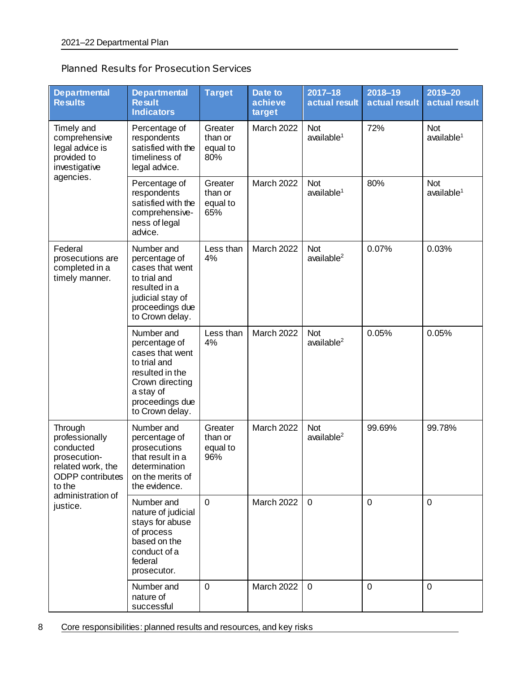| <b>Planned Results for Prosecution Services</b> |
|-------------------------------------------------|
|-------------------------------------------------|

| <b>Departmental</b><br><b>Results</b>                                                                                                             | <b>Departmental</b><br><b>Result</b><br><b>Indicators</b>                                                                                               | <b>Target</b>                         | Date to<br>achieve<br>target | $2017 - 18$<br>actual result         | $2018 - 19$<br>actual result | 2019-20<br>actual result       |
|---------------------------------------------------------------------------------------------------------------------------------------------------|---------------------------------------------------------------------------------------------------------------------------------------------------------|---------------------------------------|------------------------------|--------------------------------------|------------------------------|--------------------------------|
| Timely and<br>comprehensive<br>legal advice is<br>provided to<br>investigative                                                                    | Percentage of<br>respondents<br>satisfied with the<br>timeliness of<br>legal advice.                                                                    | Greater<br>than or<br>equal to<br>80% | <b>March 2022</b>            | <b>Not</b><br>$a$ vailable $1$       | 72%                          | <b>Not</b><br>$a$ vailable $1$ |
| agencies.                                                                                                                                         | Percentage of<br>respondents<br>satisfied with the<br>comprehensive-<br>ness of legal<br>advice.                                                        | Greater<br>than or<br>equal to<br>65% | March 2022                   | <b>Not</b><br>$a$ vailable $1$       | 80%                          | <b>Not</b><br>$a$ vailable $1$ |
| Federal<br>prosecutions are<br>completed in a<br>timely manner.                                                                                   | Number and<br>percentage of<br>cases that went<br>to trial and<br>resulted in a<br>judicial stay of<br>proceedings due<br>to Crown delay.               | Less than<br>4%                       | March 2022                   | <b>Not</b><br>$a$ vailable $2$       | 0.07%                        | 0.03%                          |
|                                                                                                                                                   | Number and<br>percentage of<br>cases that went<br>to trial and<br>resulted in the<br>Crown directing<br>a stay of<br>proceedings due<br>to Crown delay. | Less than<br>4%                       | <b>March 2022</b>            | <b>Not</b><br>$a$ vailable $2$       | 0.05%                        | 0.05%                          |
| Through<br>professionally<br>conducted<br>prosecution-<br>related work, the<br><b>ODPP</b> contributes<br>to the<br>administration of<br>justice. | Number and<br>percentage of<br>prosecutions<br>that result in a<br>determination<br>on the merits of<br>the evidence.                                   | Greater<br>than or<br>equal to<br>96% | March 2022                   | <b>Not</b><br>available <sup>2</sup> | 99.69%                       | 99.78%                         |
|                                                                                                                                                   | Number and<br>nature of judicial<br>stays for abuse<br>of process<br>based on the<br>conduct of a<br>federal<br>prosecutor.                             | $\overline{0}$                        | <b>March 2022</b>            | $\mathbf 0$                          | $\mathbf{0}$                 | $\mathbf 0$                    |
|                                                                                                                                                   | Number and<br>nature of<br>successful                                                                                                                   | $\mathbf 0$                           | <b>March 2022</b>            | $\mathbf 0$                          | $\mathbf 0$                  | $\mathbf 0$                    |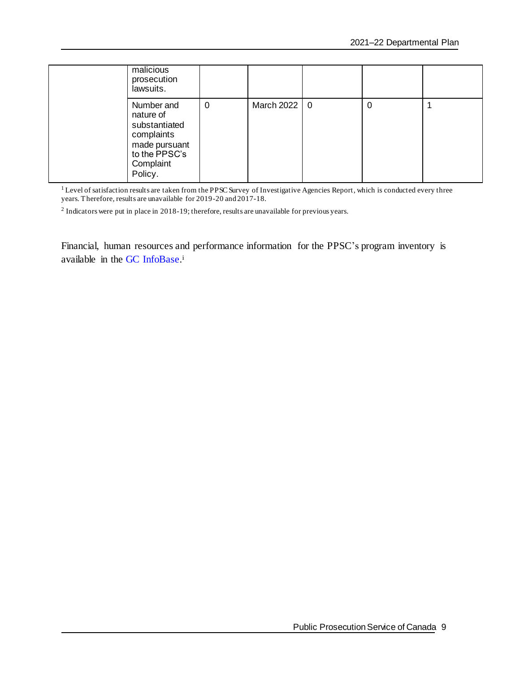| malicious<br>prosecution<br>lawsuits.                                                                            |   |                |   |  |
|------------------------------------------------------------------------------------------------------------------|---|----------------|---|--|
| Number and<br>nature of<br>substantiated<br>complaints<br>made pursuant<br>to the PPSC's<br>Complaint<br>Policy. | 0 | March 2022   0 | 0 |  |

<sup>1</sup> Level of satisfaction results are taken from the PPSC Survey of Investigative Agencies Report, which is conducted every three years. Therefore, results are unavailable for 2019-20 and 2017-18.

 $2$  Indicators were put in place in 2018-19; therefore, results are unavailable for previous years.

Financial, human resources and performance information for the PPSC's program inventory is available in the GC [InfoBase.](https://www.tbs-sct.gc.ca/ems-sgd/edb-bdd/index-eng.html)<sup>i</sup>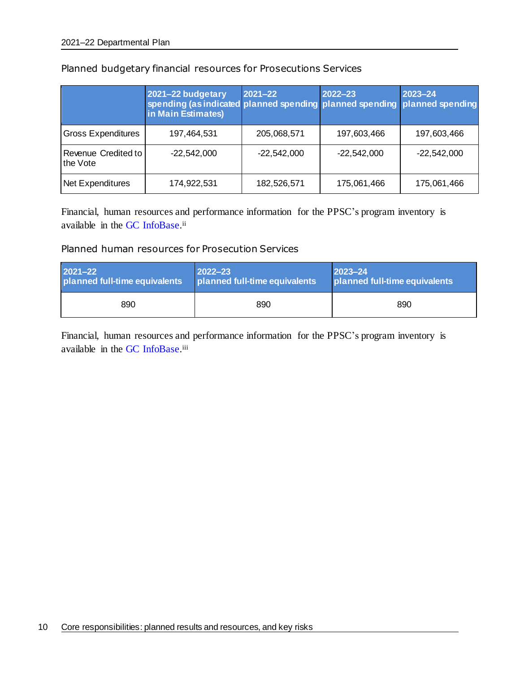|                                 | 2021-22 budgetary<br>spending (as indicated planned spending planned spending planned spending<br>in Main Estimates) | $2021 - 22$   | 2022-23       | $2023 - 24$   |
|---------------------------------|----------------------------------------------------------------------------------------------------------------------|---------------|---------------|---------------|
| <b>Gross Expenditures</b>       | 197,464,531                                                                                                          | 205,068,571   | 197,603,466   | 197,603,466   |
| Revenue Credited to<br>the Vote | $-22,542,000$                                                                                                        | $-22,542,000$ | $-22,542,000$ | $-22,542,000$ |
| Net Expenditures                | 174,922,531                                                                                                          | 182,526,571   | 175,061,466   | 175,061,466   |

### Planned budgetary financial resources for Prosecutions Services

Financial, human resources and performance information for the PPSC's program inventory is available in the GC [InfoBase.](https://www.tbs-sct.gc.ca/ems-sgd/edb-bdd/index-eng.html)<sup>ii</sup>

#### Planned human resources for Prosecution Services

| 2021-22                       | $2022 - 23$                   | $ 2023 - 24 $                 |  |
|-------------------------------|-------------------------------|-------------------------------|--|
| planned full-time equivalents | planned full-time equivalents | planned full-time equivalents |  |
| 890                           | 890                           | 890                           |  |

Financial, human resources and performance information for the PPSC's program inventory is available in the GC [InfoBase.](https://www.tbs-sct.gc.ca/ems-sgd/edb-bdd/index-eng.html)iii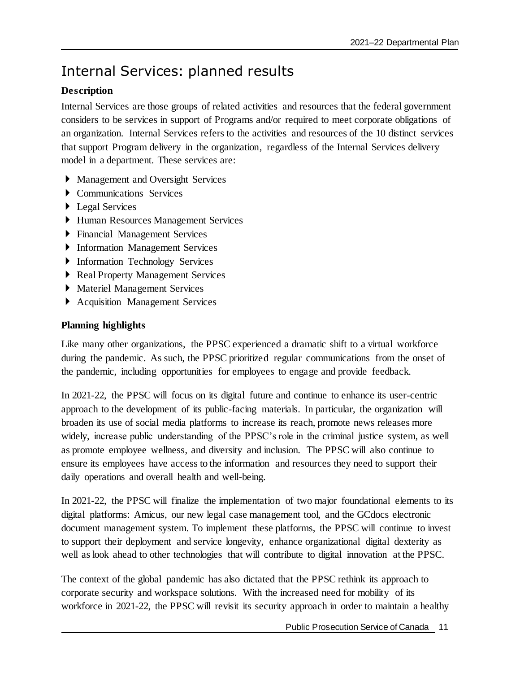## <span id="page-14-0"></span>Internal Services: planned results

### **Description**

Internal Services are those groups of related activities and resources that the federal government considers to be services in support of Programs and/or required to meet corporate obligations of an organization. Internal Services refers to the activities and resources of the 10 distinct services that support Program delivery in the organization, regardless of the Internal Services delivery model in a department. These services are:

- Management and Oversight Services
- Communications Services
- ▶ Legal Services
- Human Resources Management Services
- Financial Management Services
- Information Management Services
- **Information Technology Services**
- Real Property Management Services
- Materiel Management Services
- Acquisition Management Services

### **Planning highlights**

Like many other organizations, the PPSC experienced a dramatic shift to a virtual workforce during the pandemic. As such, the PPSC prioritized regular communications from the onset of the pandemic, including opportunities for employees to engage and provide feedback.

In 2021-22, the PPSC will focus on its digital future and continue to enhance its user-centric approach to the development of its public-facing materials. In particular, the organization will broaden its use of social media platforms to increase its reach, promote news releases more widely, increase public understanding of the PPSC's role in the criminal justice system, as well as promote employee wellness, and diversity and inclusion. The PPSC will also continue to ensure its employees have access to the information and resources they need to support their daily operations and overall health and well-being.

In 2021-22, the PPSC will finalize the implementation of two major foundational elements to its digital platforms: Amicus, our new legal case management tool, and the GCdocs electronic document management system. To implement these platforms, the PPSC will continue to invest to support their deployment and service longevity, enhance organizational digital dexterity as well as look ahead to other technologies that will contribute to digital innovation at the PPSC.

The context of the global pandemic has also dictated that the PPSC rethink its approach to corporate security and workspace solutions. With the increased need for mobility of its workforce in 2021-22, the PPSC will revisit its security approach in order to maintain a healthy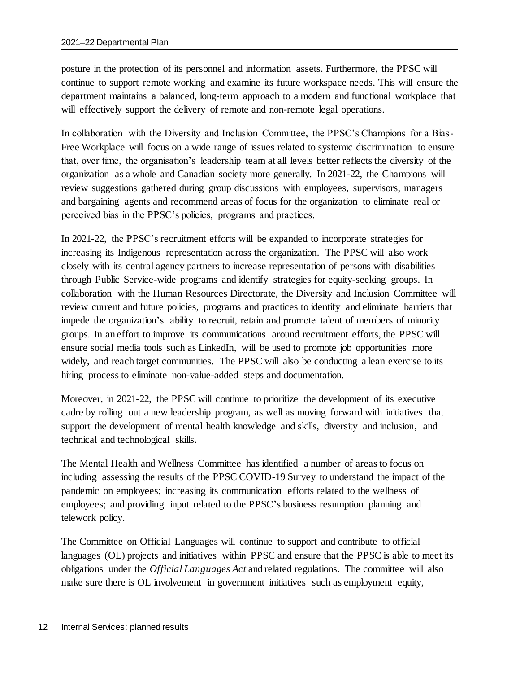posture in the protection of its personnel and information assets. Furthermore, the PPSC will continue to support remote working and examine its future workspace needs. This will ensure the department maintains a balanced, long-term approach to a modern and functional workplace that will effectively support the delivery of remote and non-remote legal operations.

In collaboration with the Diversity and Inclusion Committee, the PPSC's Champions for a Bias-Free Workplace will focus on a wide range of issues related to systemic discrimination to ensure that, over time, the organisation's leadership team at all levels better reflects the diversity of the organization as a whole and Canadian society more generally. In 2021-22, the Champions will review suggestions gathered during group discussions with employees, supervisors, managers and bargaining agents and recommend areas of focus for the organization to eliminate real or perceived bias in the PPSC's policies, programs and practices.

In 2021-22, the PPSC's recruitment efforts will be expanded to incorporate strategies for increasing its Indigenous representation across the organization. The PPSC will also work closely with its central agency partners to increase representation of persons with disabilities through Public Service-wide programs and identify strategies for equity-seeking groups. In collaboration with the Human Resources Directorate, the Diversity and Inclusion Committee will review current and future policies, programs and practices to identify and eliminate barriers that impede the organization's ability to recruit, retain and promote talent of members of minority groups. In an effort to improve its communications around recruitment efforts, the PPSC will ensure social media tools such as LinkedIn, will be used to promote job opportunities more widely, and reach target communities. The PPSC will also be conducting a lean exercise to its hiring process to eliminate non-value-added steps and documentation.

Moreover, in 2021-22, the PPSC will continue to prioritize the development of its executive cadre by rolling out a new leadership program, as well as moving forward with initiatives that support the development of mental health knowledge and skills, diversity and inclusion, and technical and technological skills.

The Mental Health and Wellness Committee has identified a number of areas to focus on including assessing the results of the PPSC COVID-19 Survey to understand the impact of the pandemic on employees; increasing its communication efforts related to the wellness of employees; and providing input related to the PPSC's business resumption planning and telework policy.

The Committee on Official Languages will continue to support and contribute to official languages (OL) projects and initiatives within PPSC and ensure that the PPSC is able to meet its obligations under the *Official Languages Act* and related regulations. The committee will also make sure there is OL involvement in government initiatives such as employment equity,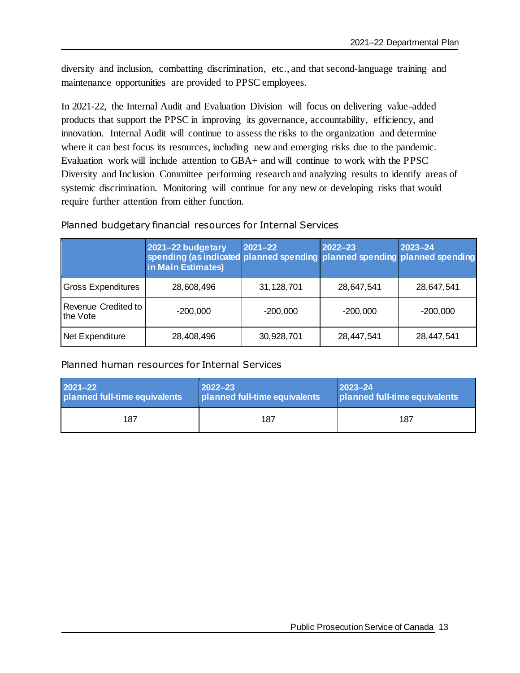diversity and inclusion, combatting discrimination, etc., and that second-language training and maintenance opportunities are provided to PPSC employees.

In 2021-22, the Internal Audit and Evaluation Division will focus on delivering value-added products that support the PPSC in improving its governance, accountability, efficiency, and innovation. Internal Audit will continue to assess the risks to the organization and determine where it can best focus its resources, including new and emerging risks due to the pandemic. Evaluation work will include attention to GBA+ and will continue to work with the PPSC Diversity and Inclusion Committee performing research and analyzing results to identify areas of systemic discrimination. Monitoring will continue for any new or developing risks that would require further attention from either function.

#### Planned budgetary financial resources for Internal Services

|                                 | 2021-22 budgetary<br>spending (as indicated planned spending planned spending planned spending<br>in Main Estimates) | $2021 - 22$ | $2022 - 23$ | $2023 - 24$ |
|---------------------------------|----------------------------------------------------------------------------------------------------------------------|-------------|-------------|-------------|
| <b>Gross Expenditures</b>       | 28,608,496                                                                                                           | 31,128,701  | 28,647,541  | 28,647,541  |
| Revenue Credited to<br>the Vote | $-200,000$                                                                                                           | $-200,000$  | $-200,000$  | $-200,000$  |
| Net Expenditure                 | 28,408,496                                                                                                           | 30,928,701  | 28,447,541  | 28,447,541  |

### Planned human resources for Internal Services

| $2021 - 22$                   | $ 2022 - 23 $                 | $ 2023 - 24 $                 |
|-------------------------------|-------------------------------|-------------------------------|
| planned full-time equivalents | planned full-time equivalents | planned full-time equivalents |
| 187                           | 187                           | 187                           |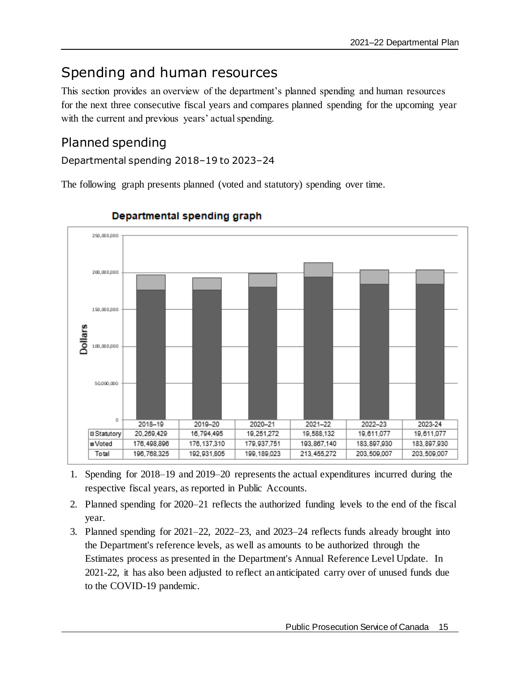## <span id="page-18-0"></span>Spending and human resources

This section provides an overview of the department's planned spending and human resources for the next three consecutive fiscal years and compares planned spending for the upcoming year with the current and previous years' actual spending.

### <span id="page-18-1"></span>Planned spending

Departmental spending 2018–19 to 2023–24

The following graph presents planned (voted and statutory) spending over time.



### Departmental spending graph

- 1. Spending for 2018–19 and 2019–20 represents the actual expenditures incurred during the respective fiscal years, as reported in Public Accounts.
- 2. Planned spending for 2020–21 reflects the authorized funding levels to the end of the fiscal year.
- 3. Planned spending for 2021–22, 2022–23, and 2023–24 reflects funds already brought into the Department's reference levels, as well as amounts to be authorized through the Estimates process as presented in the Department's Annual Reference Level Update. In 2021-22, it has also been adjusted to reflect an anticipated carry over of unused funds due to the COVID-19 pandemic.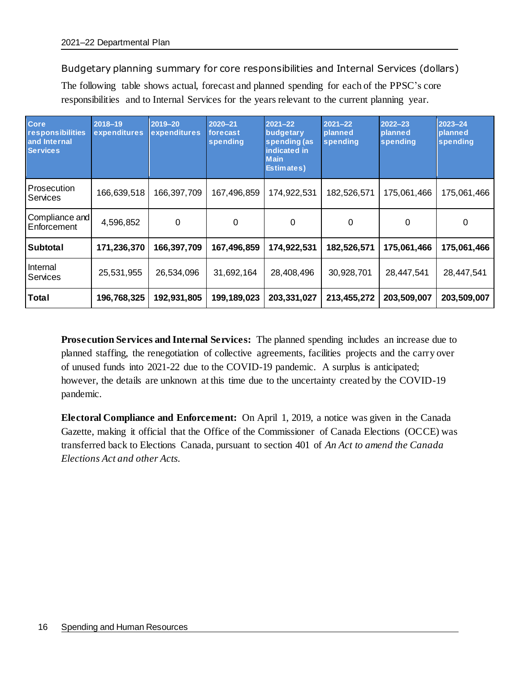Budgetary planning summary for core responsibilities and Internal Services (dollars)

The following table shows actual, forecast and planned spending for each of the PPSC's core responsibilities and to Internal Services for the years relevant to the current planning year.

| Core<br>responsibilities<br>and Internal<br><b>Services</b> | $2018 - 19$<br>expenditures | 2019-20<br>expenditures | $2020 - 21$<br>forecast<br>spending | $2021 - 22$<br>budgetary<br>spending (as<br>indicated in<br><b>Main</b><br><b>Estimates</b> ) | $2021 - 22$<br>planned<br>spending | $2022 - 23$<br>planned<br>spending | $2023 - 24$<br>planned<br>spending |
|-------------------------------------------------------------|-----------------------------|-------------------------|-------------------------------------|-----------------------------------------------------------------------------------------------|------------------------------------|------------------------------------|------------------------------------|
| Prosecution<br>Services                                     | 166,639,518                 | 166,397,709             | 167,496,859                         | 174,922,531                                                                                   | 182,526,571                        | 175,061,466                        | 175,061,466                        |
| Compliance and<br>Enforcement                               | 4,596,852                   | $\mathbf 0$             | 0                                   | 0                                                                                             | $\Omega$                           | 0                                  | 0                                  |
| <b>Subtotal</b>                                             | 171,236,370                 | 166,397,709             | 167,496,859                         | 174,922,531                                                                                   | 182,526,571                        | 175,061,466                        | 175,061,466                        |
| Internal<br>Services                                        | 25,531,955                  | 26,534,096              | 31,692,164                          | 28,408,496                                                                                    | 30,928,701                         | 28,447,541                         | 28,447,541                         |
| <b>Total</b>                                                | 196,768,325                 | 192,931,805             | 199,189,023                         | 203,331,027                                                                                   | 213,455,272                        | 203,509,007                        | 203,509,007                        |

**Prosecution Services and Internal Services:** The planned spending includes an increase due to planned staffing, the renegotiation of collective agreements, facilities projects and the carry over of unused funds into 2021-22 due to the COVID-19 pandemic. A surplus is anticipated; however, the details are unknown at this time due to the uncertainty created by the COVID-19 pandemic.

**Electoral Compliance and Enforcement:** On April 1, 2019, a notice was given in the Canada Gazette, making it official that the Office of the Commissioner of Canada Elections (OCCE) was transferred back to Elections Canada, pursuant to section 401 of *An Act to amend the Canada Elections Act and other Acts.*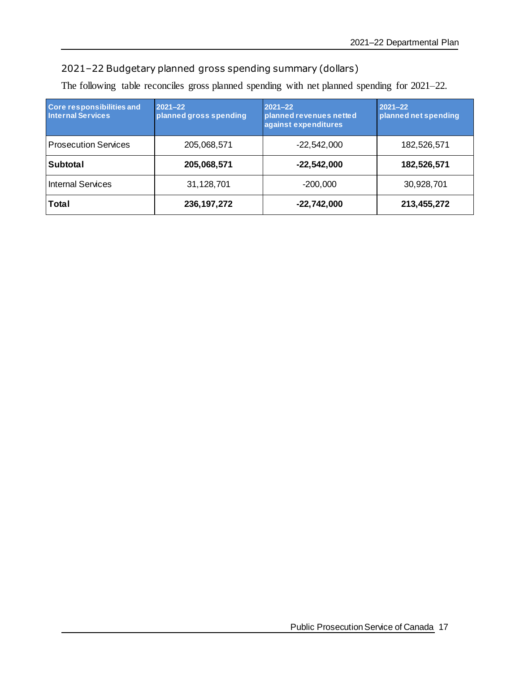### 2021–22 Budgetary planned gross spending summary (dollars)

The following table reconciles gross planned spending with net planned spending for 2021–22.

| <b>Core responsibilities and</b><br><b>Internal Services</b> | $2021 - 22$<br>planned gross spending | $2021 - 22$<br>planned revenues netted<br>against expenditures | $2021 - 22$<br>planned net spending |
|--------------------------------------------------------------|---------------------------------------|----------------------------------------------------------------|-------------------------------------|
| <b>Prosecution Services</b>                                  | 205,068,571                           | $-22,542,000$                                                  | 182,526,571                         |
| <b>Subtotal</b>                                              | 205,068,571                           | $-22,542,000$                                                  | 182,526,571                         |
| <b>Internal Services</b>                                     | 31,128,701                            | $-200,000$                                                     | 30,928,701                          |
| Total                                                        | 236, 197, 272                         | $-22,742,000$                                                  | 213,455,272                         |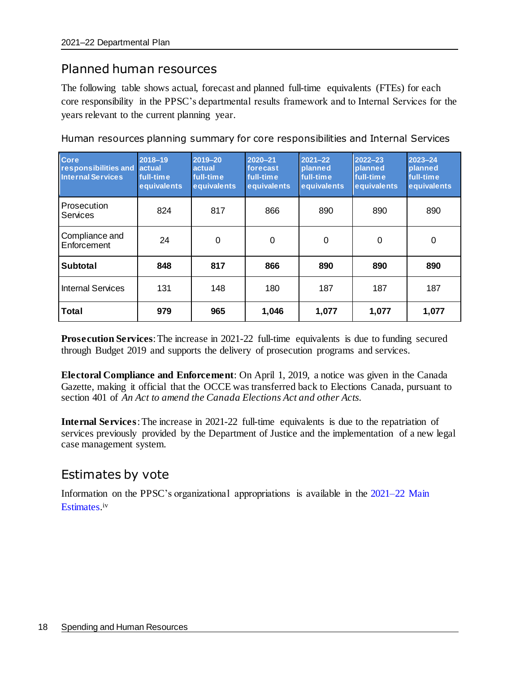### <span id="page-21-0"></span>Planned human resources

The following table shows actual, forecast and planned full-time equivalents (FTEs) for each core responsibility in the PPSC's departmental results framework and to Internal Services for the years relevant to the current planning year.

| Core<br>responsibilities and<br><b>Internal Services</b> | 2018-19<br>actual<br>full-time<br>equivalents | 2019-20<br>actual<br>full-time<br>equivalents | $2020 - 21$<br>forecast<br>full-time<br>equivalents | 2021-22<br>planned<br>full-time<br>equivalents | $2022 - 23$<br>planned<br>full-time<br>equivalents | $2023 - 24$<br>planned<br>full-time<br>equivalents |
|----------------------------------------------------------|-----------------------------------------------|-----------------------------------------------|-----------------------------------------------------|------------------------------------------------|----------------------------------------------------|----------------------------------------------------|
| Prosecution<br>Services                                  | 824                                           | 817                                           | 866                                                 | 890                                            | 890                                                | 890                                                |
| Compliance and<br>Enforcement                            | 24                                            | $\mathbf 0$                                   | $\mathbf 0$                                         | 0                                              | $\mathbf 0$                                        | 0                                                  |
| Subtotal                                                 | 848                                           | 817                                           | 866                                                 | 890                                            | 890                                                | 890                                                |
| Internal Services                                        | 131                                           | 148                                           | 180                                                 | 187                                            | 187                                                | 187                                                |
| <b>Total</b>                                             | 979                                           | 965                                           | 1,046                                               | 1,077                                          | 1,077                                              | 1,077                                              |

Human resources planning summary for core responsibilities and Internal Services

**Prosecution Services**: The increase in 2021-22 full-time equivalents is due to funding secured through Budget 2019 and supports the delivery of prosecution programs and services.

**Electoral Compliance and Enforcement**: On April 1, 2019, a notice was given in the Canada Gazette, making it official that the OCCE was transferred back to Elections Canada, pursuant to section 401 of *An Act to amend the Canada Elections Act and other Acts.*

**Internal Services**: The increase in 2021-22 full-time equivalents is due to the repatriation of services previously provided by the Department of Justice and the implementation of a new legal case management system.

### <span id="page-21-1"></span>Estimates by vote

Information on the PPSC's organizational appropriations is available in the [2021–22 Main](http://www.tbs-sct.gc.ca/hgw-cgf/finances/pgs-pdg/gepme-pdgbpd/index-eng.asp)  [Estimates.](http://www.tbs-sct.gc.ca/hgw-cgf/finances/pgs-pdg/gepme-pdgbpd/index-eng.asp) iv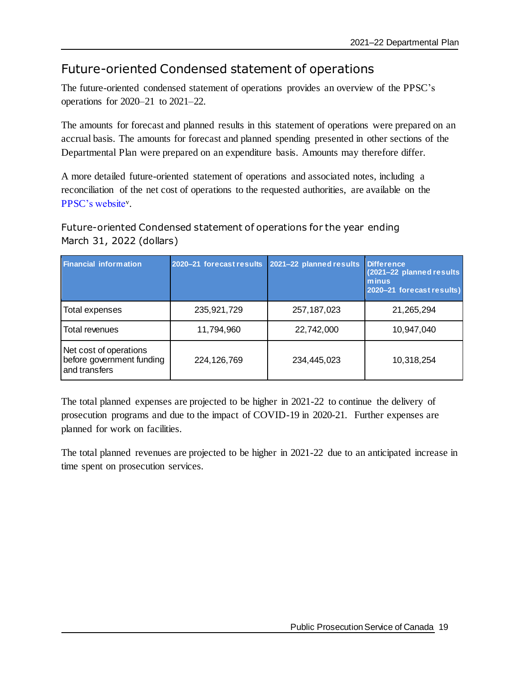### <span id="page-22-0"></span>Future-oriented Condensed statement of operations

The future-oriented condensed statement of operations provides an overview of the PPSC's operations for 2020–21 to 2021–22.

The amounts for forecast and planned results in this statement of operations were prepared on an accrual basis. The amounts for forecast and planned spending presented in other sections of the Departmental Plan were prepared on an expenditure basis. Amounts may therefore differ.

A more detailed future-oriented statement of operations and associated notes, including a reconciliation of the net cost of operations to the requested authorities, are available on the [PPSC's website](https://www.ppsc-sppc.gc.ca/eng/bas/index.html)<sup>v</sup> .

Future-oriented Condensed statement of operations for the year ending March 31, 2022 (dollars)

| <b>Financial information</b>                                         | 2020-21 forecast results | 2021-22 planned results | Difference,<br>(2021-22 planned results)<br>minus<br>2020-21 forecast results) |
|----------------------------------------------------------------------|--------------------------|-------------------------|--------------------------------------------------------------------------------|
| Total expenses                                                       | 235,921,729              | 257, 187, 023           | 21,265,294                                                                     |
| Total revenues                                                       | 11,794,960               | 22,742,000              | 10,947,040                                                                     |
| Net cost of operations<br>before government funding<br>and transfers | 224, 126, 769            | 234,445,023             | 10,318,254                                                                     |

The total planned expenses are projected to be higher in 2021-22 to continue the delivery of prosecution programs and due to the impact of COVID-19 in 2020-21. Further expenses are planned for work on facilities.

The total planned revenues are projected to be higher in 2021-22 due to an anticipated increase in time spent on prosecution services.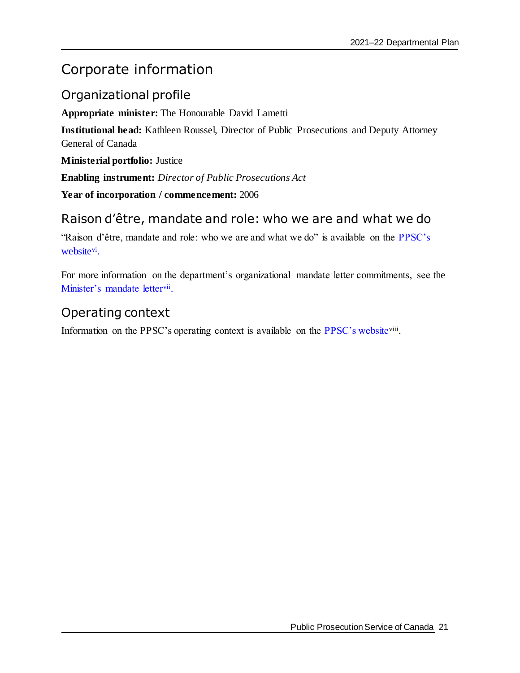## <span id="page-24-0"></span>Corporate information

### <span id="page-24-1"></span>Organizational profile

**Appropriate minister:** The Honourable David Lametti

**Institutional head:** Kathleen Roussel, Director of Public Prosecutions and Deputy Attorney General of Canada

**Ministerial portfolio:** Justice

**Enabling instrument:** *Director of Public Prosecutions Act*

**Year of incorporation / commencement:** 2006

### <span id="page-24-2"></span>Raison d'être, mandate and role: who we are and what we do

"Raison d'être, mandate and role: who we are and what we do" is available on the [PPSC's](https://www.ppsc-sppc.gc.ca/eng/bas/index.html)  [website](https://www.ppsc-sppc.gc.ca/eng/bas/index.html)<sup>vi</sup>.

For more information on the department's organizational mandate letter commitments, see the [Minister's mandate letter](https://pm.gc.ca/en/mandate-letters)vii.

### <span id="page-24-3"></span>Operating context

Information on the PPSC's operating context is available on the [PPSC's website](https://www.ppsc-sppc.gc.ca/eng/index.html)<sup>viii</sup>.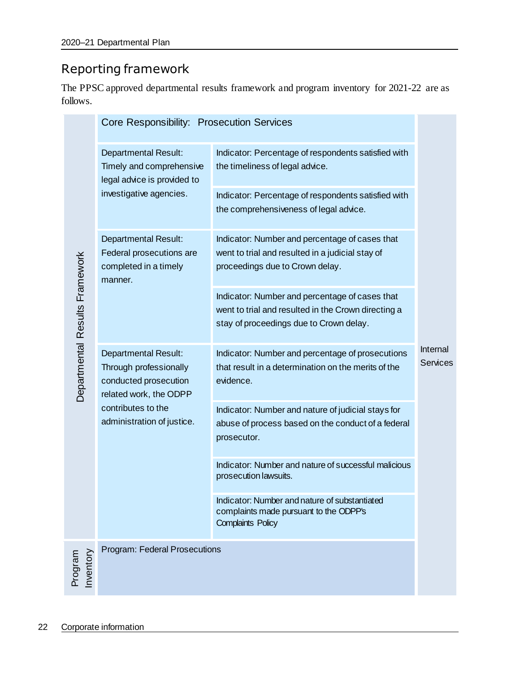## <span id="page-25-0"></span>Reporting framework

The PPSC approved departmental results framework and program inventory for 2021-22 are as follows.

| <b>Departmental Results Framework</b> |                                                                                                                                                              | Core Responsibility: Prosecution Services                                                                                                        |                             |
|---------------------------------------|--------------------------------------------------------------------------------------------------------------------------------------------------------------|--------------------------------------------------------------------------------------------------------------------------------------------------|-----------------------------|
|                                       | <b>Departmental Result:</b><br>Timely and comprehensive<br>legal advice is provided to<br>investigative agencies.                                            | Indicator: Percentage of respondents satisfied with<br>the timeliness of legal advice.                                                           | Internal<br><b>Services</b> |
|                                       |                                                                                                                                                              | Indicator: Percentage of respondents satisfied with<br>the comprehensiveness of legal advice.                                                    |                             |
|                                       | <b>Departmental Result:</b><br>Federal prosecutions are<br>completed in a timely<br>manner.                                                                  | Indicator: Number and percentage of cases that<br>went to trial and resulted in a judicial stay of<br>proceedings due to Crown delay.            |                             |
|                                       |                                                                                                                                                              | Indicator: Number and percentage of cases that<br>went to trial and resulted in the Crown directing a<br>stay of proceedings due to Crown delay. |                             |
|                                       | <b>Departmental Result:</b><br>Through professionally<br>conducted prosecution<br>related work, the ODPP<br>contributes to the<br>administration of justice. | Indicator: Number and percentage of prosecutions<br>that result in a determination on the merits of the<br>evidence.                             |                             |
|                                       |                                                                                                                                                              | Indicator: Number and nature of judicial stays for<br>abuse of process based on the conduct of a federal<br>prosecutor.                          |                             |
|                                       |                                                                                                                                                              | Indicator: Number and nature of successful malicious<br>prosecution lawsuits.                                                                    |                             |
|                                       |                                                                                                                                                              | Indicator: Number and nature of substantiated<br>complaints made pursuant to the ODPP's<br><b>Complaints Policy</b>                              |                             |
| Inventory<br>Program                  | Program: Federal Prosecutions                                                                                                                                |                                                                                                                                                  |                             |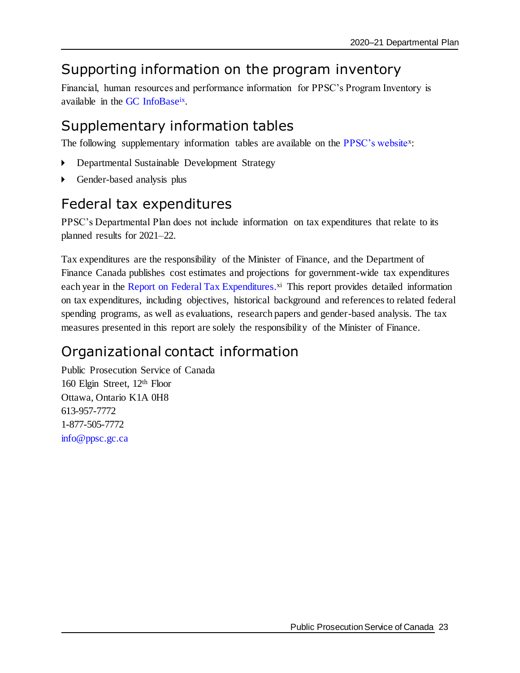## <span id="page-26-0"></span>Supporting information on the program inventory

Financial, human resources and performance information for PPSC's Program Inventory is available in the GC [InfoBase](https://www.tbs-sct.gc.ca/ems-sgd/edb-bdd/index-eng.html)<sup>ix</sup>.

## <span id="page-26-1"></span>Supplementary information tables

The following supplementary information tables are available on the [PPSC's website](https://www.ppsc-sppc.gc.ca/eng/index.html)<sup>x</sup>:

- Departmental Sustainable Development Strategy
- Gender-based analysis plus

## <span id="page-26-2"></span>Federal tax expenditures

PPSC's Departmental Plan does not include information on tax expenditures that relate to its planned results for 2021–22.

Tax expenditures are the responsibility of the Minister of Finance, and the Department of Finance Canada publishes cost estimates and projections for government-wide tax expenditures each year in the [Report on Federal Tax Expenditures.](https://www.canada.ca/en/department-finance/services/publications/federal-tax-expenditures.html)<sup>xi</sup> This report provides detailed information on tax expenditures, including objectives, historical background and references to related federal spending programs, as well as evaluations, research papers and gender-based analysis. The tax measures presented in this report are solely the responsibility of the Minister of Finance.

## <span id="page-26-3"></span>Organizational contact information

Public Prosecution Service of Canada 160 Elgin Street, 12th Floor Ottawa, Ontario K1A 0H8 613-957-7772 1-877-505-7772 [info@ppsc.gc.ca](file:///C:/Users/jwilson/AppData/Roaming/OpenText/OTEdit/EC_ppsc_prod/c2300595/mailto_info@ppsc.gc.ca)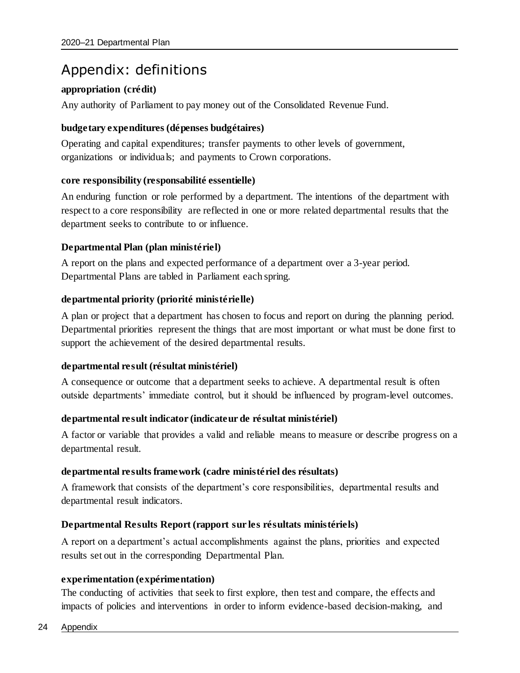## <span id="page-27-0"></span>Appendix: definitions

### **appropriation (crédit)**

Any authority of Parliament to pay money out of the Consolidated Revenue Fund.

### **budgetary expenditures (dépenses budgétaires)**

Operating and capital expenditures; transfer payments to other levels of government, organizations or individuals; and payments to Crown corporations.

### **core responsibility (responsabilité essentielle)**

An enduring function or role performed by a department. The intentions of the department with respect to a core responsibility are reflected in one or more related departmental results that the department seeks to contribute to or influence.

### **Departmental Plan (plan ministériel)**

A report on the plans and expected performance of a department over a 3-year period. Departmental Plans are tabled in Parliament each spring.

### **departmental priority (priorité ministérielle)**

A plan or project that a department has chosen to focus and report on during the planning period. Departmental priorities represent the things that are most important or what must be done first to support the achievement of the desired departmental results.

### **departmental result (résultat ministériel)**

A consequence or outcome that a department seeks to achieve. A departmental result is often outside departments' immediate control, but it should be influenced by program-level outcomes.

### **departmental result indicator (indicateur de résultat ministériel)**

A factor or variable that provides a valid and reliable means to measure or describe progress on a departmental result.

### **departmental results framework (cadre ministériel des résultats)**

A framework that consists of the department's core responsibilities, departmental results and departmental result indicators.

### **Departmental Results Report (rapport sur les résultats ministériels)**

A report on a department's actual accomplishments against the plans, priorities and expected results set out in the corresponding Departmental Plan.

### **experimentation (expérimentation)**

The conducting of activities that seek to first explore, then test and compare, the effects and impacts of policies and interventions in order to inform evidence-based decision-making, and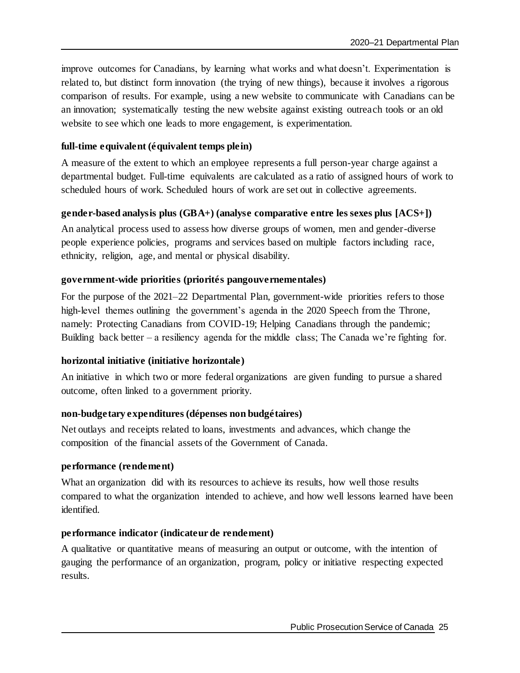improve outcomes for Canadians, by learning what works and what doesn't. Experimentation is related to, but distinct form innovation (the trying of new things), because it involves a rigorous comparison of results. For example, using a new website to communicate with Canadians can be an innovation; systematically testing the new website against existing outreach tools or an old website to see which one leads to more engagement, is experimentation.

### **full-time equivalent (équivalent temps plein)**

A measure of the extent to which an employee represents a full person-year charge against a departmental budget. Full-time equivalents are calculated as a ratio of assigned hours of work to scheduled hours of work. Scheduled hours of work are set out in collective agreements.

### **gender-based analysis plus (GBA+) (analyse comparative entre les sexes plus [ACS+])**

An analytical process used to assess how diverse groups of women, men and gender-diverse people experience policies, programs and services based on multiple factors including race, ethnicity, religion, age, and mental or physical disability.

### **government-wide priorities (priorités pangouvernementales)**

For the purpose of the 2021–22 Departmental Plan, government-wide priorities refers to those high-level themes outlining the government's agenda in the 2020 Speech from the Throne, namely: Protecting Canadians from COVID-19; Helping Canadians through the pandemic; Building back better – a resiliency agenda for the middle class; The Canada we're fighting for.

#### **horizontal initiative (initiative horizontale)**

An initiative in which two or more federal organizations are given funding to pursue a shared outcome, often linked to a government priority.

### **non-budgetary expenditures (dépenses non budgétaires)**

Net outlays and receipts related to loans, investments and advances, which change the composition of the financial assets of the Government of Canada.

#### **performance (rendement)**

What an organization did with its resources to achieve its results, how well those results compared to what the organization intended to achieve, and how well lessons learned have been identified.

#### **performance indicator (indicateur de rendement)**

A qualitative or quantitative means of measuring an output or outcome, with the intention of gauging the performance of an organization, program, policy or initiative respecting expected results.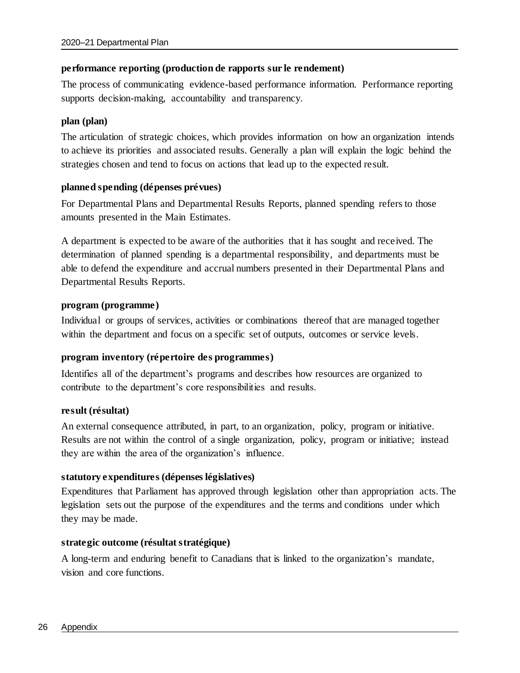### **performance reporting (production de rapports sur le rendement)**

The process of communicating evidence-based performance information. Performance reporting supports decision-making, accountability and transparency.

### **plan (plan)**

The articulation of strategic choices, which provides information on how an organization intends to achieve its priorities and associated results. Generally a plan will explain the logic behind the strategies chosen and tend to focus on actions that lead up to the expected result.

### **planned spending (dépenses prévues)**

For Departmental Plans and Departmental Results Reports, planned spending refers to those amounts presented in the Main Estimates.

A department is expected to be aware of the authorities that it has sought and received. The determination of planned spending is a departmental responsibility, and departments must be able to defend the expenditure and accrual numbers presented in their Departmental Plans and Departmental Results Reports.

#### **program (programme)**

Individual or groups of services, activities or combinations thereof that are managed together within the department and focus on a specific set of outputs, outcomes or service levels.

### **program inventory (répertoire des programmes)**

Identifies all of the department's programs and describes how resources are organized to contribute to the department's core responsibilities and results.

#### **result (résultat)**

An external consequence attributed, in part, to an organization, policy, program or initiative. Results are not within the control of a single organization, policy, program or initiative; instead they are within the area of the organization's influence.

### **statutory expenditures (dépenses législatives)**

Expenditures that Parliament has approved through legislation other than appropriation acts. The legislation sets out the purpose of the expenditures and the terms and conditions under which they may be made.

### **strategic outcome (résultat stratégique)**

A long-term and enduring benefit to Canadians that is linked to the organization's mandate, vision and core functions.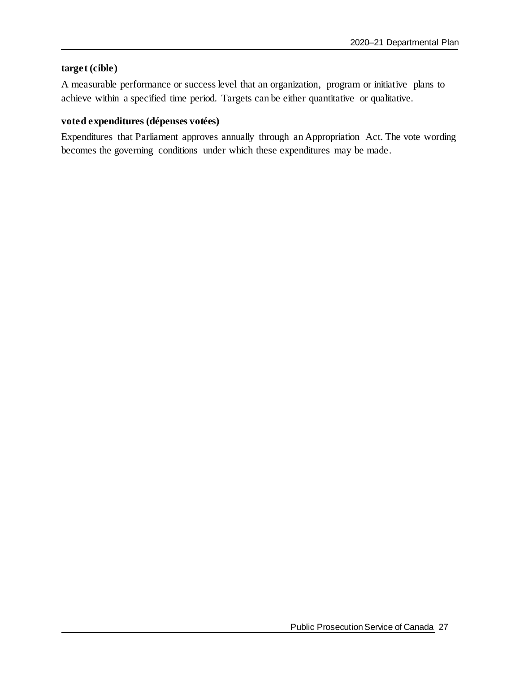### **target (cible)**

A measurable performance or success level that an organization, program or initiative plans to achieve within a specified time period. Targets can be either quantitative or qualitative.

### **voted expenditures (dépenses votées)**

Expenditures that Parliament approves annually through an Appropriation Act. The vote wording becomes the governing conditions under which these expenditures may be made.